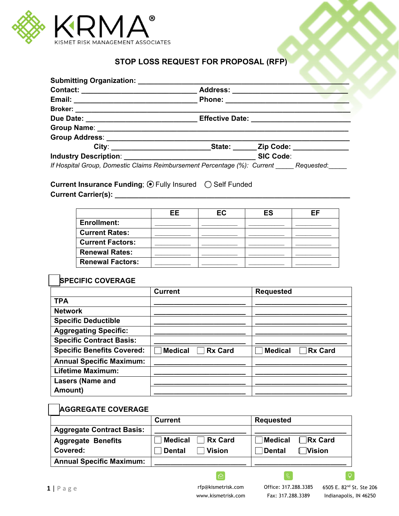

## **STOP LOSS REQUEST FOR PROPOSAL (RFP)**

|                                                                                     | Address: ________________________                                                |                  |  |
|-------------------------------------------------------------------------------------|----------------------------------------------------------------------------------|------------------|--|
|                                                                                     |                                                                                  |                  |  |
|                                                                                     |                                                                                  |                  |  |
|                                                                                     | Due Date: ___________________________________Effective Date: ___________________ |                  |  |
|                                                                                     |                                                                                  |                  |  |
|                                                                                     |                                                                                  |                  |  |
|                                                                                     |                                                                                  |                  |  |
|                                                                                     |                                                                                  | <b>SIC Code:</b> |  |
| If Hospital Group, Domestic Claims Reimbursement Percentage (%): Current Requested: |                                                                                  |                  |  |

Current Insurance Funding; **⊙** Fully Insured ○ Self Funded **Current Carrier(s): \_\_\_\_\_\_\_\_\_\_\_\_\_\_\_\_\_\_\_\_\_\_\_\_\_\_\_\_\_\_\_\_\_\_\_\_\_\_\_\_\_\_\_\_\_\_\_\_\_\_\_\_\_\_\_\_\_\_\_** 

|                         | EE. | <b>EC</b> | ES | FF |
|-------------------------|-----|-----------|----|----|
| <b>Enrollment:</b>      |     |           |    |    |
| <b>Current Rates:</b>   |     |           |    |    |
| <b>Current Factors:</b> |     |           |    |    |
| <b>Renewal Rates:</b>   |     |           |    |    |
| <b>Renewal Factors:</b> |     |           |    |    |

## ☐ **SPECIFIC COVERAGE**

 $\overline{a}$ 

|                                   | <b>Current</b>                   | <b>Requested</b>                 |
|-----------------------------------|----------------------------------|----------------------------------|
| <b>TPA</b>                        |                                  |                                  |
| <b>Network</b>                    |                                  |                                  |
| <b>Specific Deductible</b>        |                                  |                                  |
| <b>Aggregating Specific:</b>      |                                  |                                  |
| <b>Specific Contract Basis:</b>   |                                  |                                  |
| <b>Specific Benefits Covered:</b> | <b>Rx Card</b><br><b>Medical</b> | <b>Rx Card</b><br><b>Medical</b> |
| <b>Annual Specific Maximum:</b>   |                                  |                                  |
| <b>Lifetime Maximum:</b>          |                                  |                                  |
| <b>Lasers (Name and</b>           |                                  |                                  |
| Amount)                           |                                  |                                  |

## ☐ **AGGREGATE COVERAGE**

|                                  | <b>Current</b>                 | <b>Requested</b>           |
|----------------------------------|--------------------------------|----------------------------|
| <b>Aggregate Contract Basis:</b> |                                |                            |
| <b>Aggregate Benefits</b>        | <b>Medical</b><br>Rx Card      | Medical Rx Card            |
| <b>Covered:</b>                  | <b>Vision</b><br><b>Dental</b> | <b>I</b> Vision<br>∣Dental |
| <b>Annual Specific Maximum:</b>  |                                |                            |

 $\Theta$